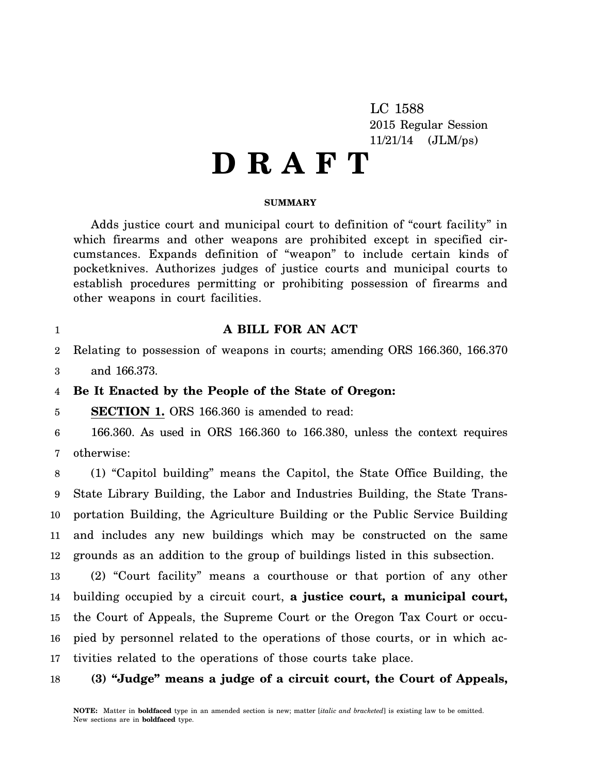LC 1588 2015 Regular Session 11/21/14 (JLM/ps)

# **D R A F T**

## **SUMMARY**

Adds justice court and municipal court to definition of "court facility" in which firearms and other weapons are prohibited except in specified circumstances. Expands definition of "weapon" to include certain kinds of pocketknives. Authorizes judges of justice courts and municipal courts to establish procedures permitting or prohibiting possession of firearms and other weapons in court facilities.

## **A BILL FOR AN ACT**

2 Relating to possession of weapons in courts; amending ORS 166.360, 166.370

3 and 166.373.

#### 4 **Be It Enacted by the People of the State of Oregon:**

5 **SECTION 1.** ORS 166.360 is amended to read:

6 7 166.360. As used in ORS 166.360 to 166.380, unless the context requires otherwise:

8 9 10 11 12 (1) "Capitol building" means the Capitol, the State Office Building, the State Library Building, the Labor and Industries Building, the State Transportation Building, the Agriculture Building or the Public Service Building and includes any new buildings which may be constructed on the same grounds as an addition to the group of buildings listed in this subsection.

13 14 15 16 17 (2) "Court facility" means a courthouse or that portion of any other building occupied by a circuit court, **a justice court, a municipal court,** the Court of Appeals, the Supreme Court or the Oregon Tax Court or occupied by personnel related to the operations of those courts, or in which activities related to the operations of those courts take place.

### 18 **(3) "Judge" means a judge of a circuit court, the Court of Appeals,**

1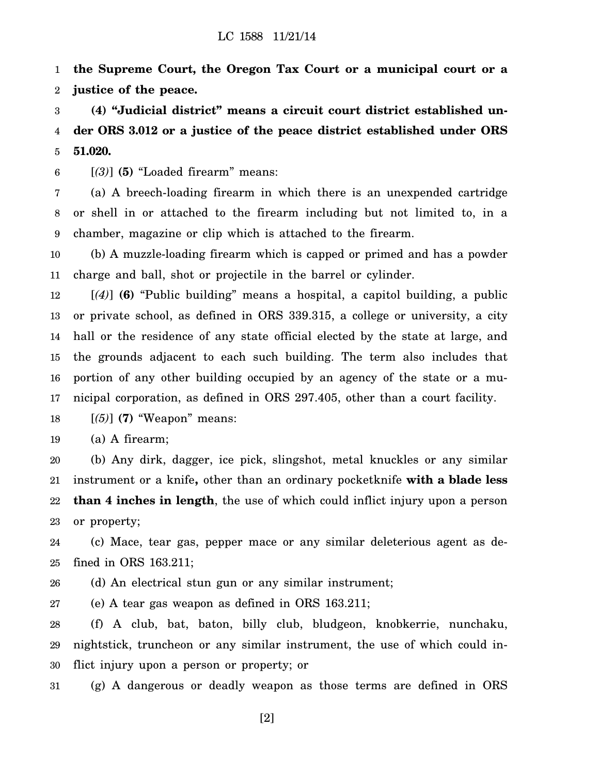1 2 **the Supreme Court, the Oregon Tax Court or a municipal court or a justice of the peace.**

3 4 5 **(4) "Judicial district" means a circuit court district established under ORS 3.012 or a justice of the peace district established under ORS 51.020.**

6 [*(3)*] **(5)** "Loaded firearm" means:

7 8 9 (a) A breech-loading firearm in which there is an unexpended cartridge or shell in or attached to the firearm including but not limited to, in a chamber, magazine or clip which is attached to the firearm.

10 11 (b) A muzzle-loading firearm which is capped or primed and has a powder charge and ball, shot or projectile in the barrel or cylinder.

12 13 14 15 16 17 [*(4)*] **(6)** "Public building" means a hospital, a capitol building, a public or private school, as defined in ORS 339.315, a college or university, a city hall or the residence of any state official elected by the state at large, and the grounds adjacent to each such building. The term also includes that portion of any other building occupied by an agency of the state or a municipal corporation, as defined in ORS 297.405, other than a court facility.

18 [*(5)*] **(7)** "Weapon" means:

19 (a) A firearm;

20 21 22 23 (b) Any dirk, dagger, ice pick, slingshot, metal knuckles or any similar instrument or a knife**,** other than an ordinary pocketknife **with a blade less than 4 inches in length**, the use of which could inflict injury upon a person or property;

24 25 (c) Mace, tear gas, pepper mace or any similar deleterious agent as defined in ORS 163.211;

26 (d) An electrical stun gun or any similar instrument;

27 (e) A tear gas weapon as defined in ORS 163.211;

28 29 30 (f) A club, bat, baton, billy club, bludgeon, knobkerrie, nunchaku, nightstick, truncheon or any similar instrument, the use of which could inflict injury upon a person or property; or

31 (g) A dangerous or deadly weapon as those terms are defined in ORS

[2]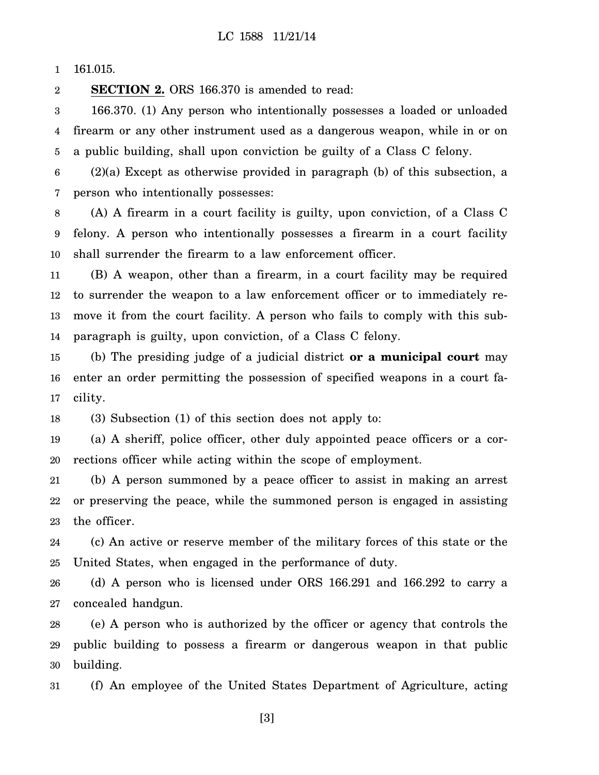1 161.015.

2 **SECTION 2.** ORS 166.370 is amended to read:

3 4 5 166.370. (1) Any person who intentionally possesses a loaded or unloaded firearm or any other instrument used as a dangerous weapon, while in or on a public building, shall upon conviction be guilty of a Class C felony.

6 7 (2)(a) Except as otherwise provided in paragraph (b) of this subsection, a person who intentionally possesses:

8 9 10 (A) A firearm in a court facility is guilty, upon conviction, of a Class C felony. A person who intentionally possesses a firearm in a court facility shall surrender the firearm to a law enforcement officer.

11 12 13 14 (B) A weapon, other than a firearm, in a court facility may be required to surrender the weapon to a law enforcement officer or to immediately remove it from the court facility. A person who fails to comply with this subparagraph is guilty, upon conviction, of a Class C felony.

15 16 17 (b) The presiding judge of a judicial district **or a municipal court** may enter an order permitting the possession of specified weapons in a court facility.

18 (3) Subsection (1) of this section does not apply to:

19 20 (a) A sheriff, police officer, other duly appointed peace officers or a corrections officer while acting within the scope of employment.

21 22 23 (b) A person summoned by a peace officer to assist in making an arrest or preserving the peace, while the summoned person is engaged in assisting the officer.

24 25 (c) An active or reserve member of the military forces of this state or the United States, when engaged in the performance of duty.

26 27 (d) A person who is licensed under ORS 166.291 and 166.292 to carry a concealed handgun.

28 29 30 (e) A person who is authorized by the officer or agency that controls the public building to possess a firearm or dangerous weapon in that public building.

31 (f) An employee of the United States Department of Agriculture, acting

[3]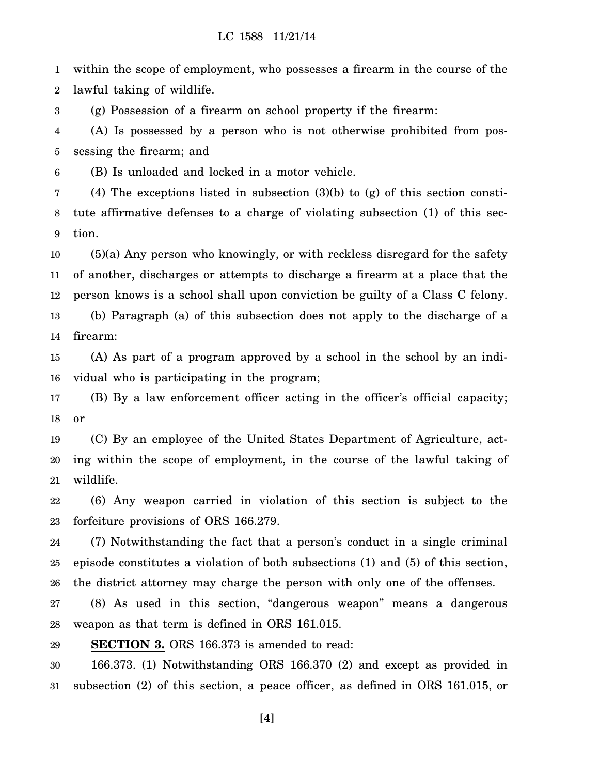1 2 within the scope of employment, who possesses a firearm in the course of the lawful taking of wildlife.

3 (g) Possession of a firearm on school property if the firearm:

4 5 (A) Is possessed by a person who is not otherwise prohibited from possessing the firearm; and

6 (B) Is unloaded and locked in a motor vehicle.

7 8 9 (4) The exceptions listed in subsection (3)(b) to (g) of this section constitute affirmative defenses to a charge of violating subsection (1) of this section.

10 11 12 13 14 (5)(a) Any person who knowingly, or with reckless disregard for the safety of another, discharges or attempts to discharge a firearm at a place that the person knows is a school shall upon conviction be guilty of a Class C felony. (b) Paragraph (a) of this subsection does not apply to the discharge of a firearm:

15 16 (A) As part of a program approved by a school in the school by an individual who is participating in the program;

17 18 (B) By a law enforcement officer acting in the officer's official capacity; or

19 20 21 (C) By an employee of the United States Department of Agriculture, acting within the scope of employment, in the course of the lawful taking of wildlife.

22 23 (6) Any weapon carried in violation of this section is subject to the forfeiture provisions of ORS 166.279.

24 25 26 (7) Notwithstanding the fact that a person's conduct in a single criminal episode constitutes a violation of both subsections (1) and (5) of this section, the district attorney may charge the person with only one of the offenses.

27 28 (8) As used in this section, "dangerous weapon" means a dangerous weapon as that term is defined in ORS 161.015.

29 **SECTION 3.** ORS 166.373 is amended to read:

30 31 166.373. (1) Notwithstanding ORS 166.370 (2) and except as provided in subsection (2) of this section, a peace officer, as defined in ORS 161.015, or

[4]